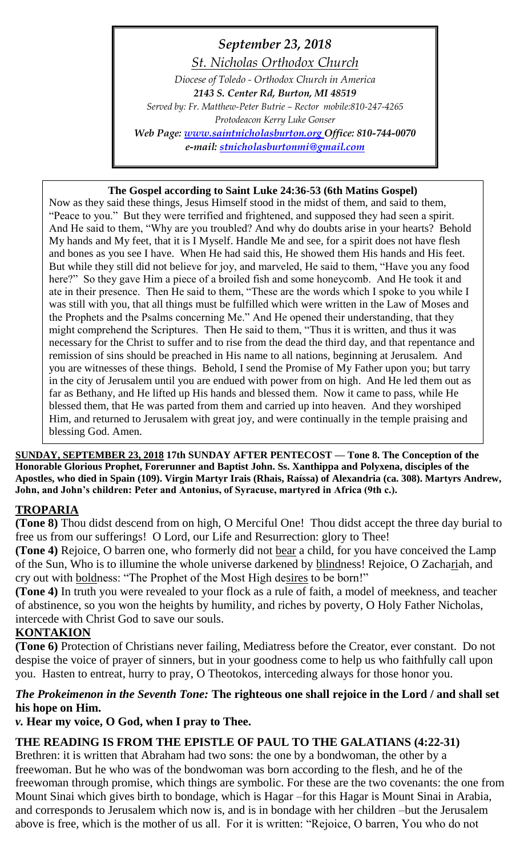# *September 23, 2018*

*St. Nicholas Orthodox Church*

*Diocese of Toledo - Orthodox Church in America 2143 S. Center Rd, Burton, MI 48519 Served by: Fr. Matthew-Peter Butrie – Rector mobile:810-247-4265 Protodeacon Kerry Luke Gonser Web Page: [www.saintnicholasburton.org](http://www.saintnicholasburton.org/) Office: 810-744-0070 e-mail: [stnicholasburtonmi@gmail.com](mailto:stnicholasburtonmi@gmail.com)*

## **The Gospel according to Saint Luke 24:36-53 (6th Matins Gospel)**

Now as they said these things, Jesus Himself stood in the midst of them, and said to them, "Peace to you." But they were terrified and frightened, and supposed they had seen a spirit. And He said to them, "Why are you troubled? And why do doubts arise in your hearts? Behold My hands and My feet, that it is I Myself. Handle Me and see, for a spirit does not have flesh and bones as you see I have. When He had said this, He showed them His hands and His feet. But while they still did not believe for joy, and marveled, He said to them, "Have you any food here?" So they gave Him a piece of a broiled fish and some honeycomb. And He took it and ate in their presence. Then He said to them, "These are the words which I spoke to you while I was still with you, that all things must be fulfilled which were written in the Law of Moses and the Prophets and the Psalms concerning Me." And He opened their understanding, that they might comprehend the Scriptures. Then He said to them, "Thus it is written, and thus it was necessary for the Christ to suffer and to rise from the dead the third day, and that repentance and remission of sins should be preached in His name to all nations, beginning at Jerusalem. And you are witnesses of these things. Behold, I send the Promise of My Father upon you; but tarry in the city of Jerusalem until you are endued with power from on high. And He led them out as far as Bethany, and He lifted up His hands and blessed them. Now it came to pass, while He blessed them, that He was parted from them and carried up into heaven. And they worshiped Him, and returned to Jerusalem with great joy, and were continually in the temple praising and blessing God. Amen.

**SUNDAY, SEPTEMBER 23, 2018 17th SUNDAY AFTER PENTECOST — Tone 8. The Conception of the Honorable Glorious Prophet, Forerunner and Baptist John. Ss. Xanthippa and Polyxena, disciples of the Apostles, who died in Spain (109). Virgin Martyr Irais (Rhais, Raíssa) of Alexandria (ca. 308). Martyrs Andrew, John, and John's children: Peter and Antonius, of Syracuse, martyred in Africa (9th c.).**

## **TROPARIA**

**(Tone 8)** Thou didst descend from on high, O Merciful One! Thou didst accept the three day burial to free us from our sufferings! O Lord, our Life and Resurrection: glory to Thee!

**(Tone 4)** Rejoice, O barren one, who formerly did not bear a child, for you have conceived the Lamp of the Sun, Who is to illumine the whole universe darkened by blindness! Rejoice, O Zachariah, and cry out with boldness: "The Prophet of the Most High desires to be born!"

**(Tone 4)** In truth you were revealed to your flock as a rule of faith, a model of meekness, and teacher of abstinence, so you won the heights by humility, and riches by poverty, O Holy Father Nicholas, intercede with Christ God to save our souls.

## **KONTAKION**

**(Tone 6)** Protection of Christians never failing, Mediatress before the Creator, ever constant. Do not despise the voice of prayer of sinners, but in your goodness come to help us who faithfully call upon you. Hasten to entreat, hurry to pray, O Theotokos, interceding always for those honor you.

## *The Prokeimenon in the Seventh Tone:* **The righteous one shall rejoice in the Lord / and shall set his hope on Him.**

*v.* **Hear my voice, O God, when I pray to Thee.**

## **THE READING IS FROM THE EPISTLE OF PAUL TO THE GALATIANS (4:22-31)**

Brethren: it is written that Abraham had two sons: the one by a bondwoman, the other by a freewoman. But he who was of the bondwoman was born according to the flesh, and he of the freewoman through promise, which things are symbolic. For these are the two covenants: the one from Mount Sinai which gives birth to bondage, which is Hagar –for this Hagar is Mount Sinai in Arabia, and corresponds to Jerusalem which now is, and is in bondage with her children –but the Jerusalem above is free, which is the mother of us all. For it is written: "Rejoice, O barren, You who do not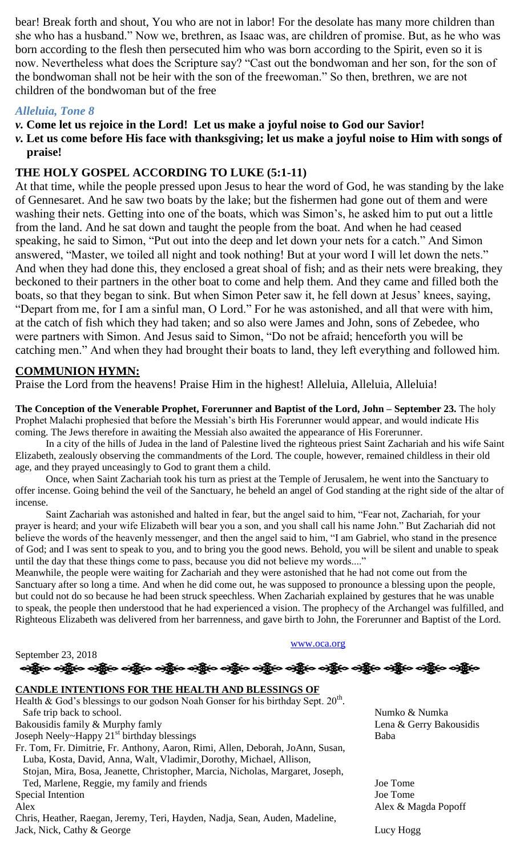bear! Break forth and shout, You who are not in labor! For the desolate has many more children than she who has a husband." Now we, brethren, as Isaac was, are children of promise. But, as he who was born according to the flesh then persecuted him who was born according to the Spirit, even so it is now. Nevertheless what does the Scripture say? "Cast out the bondwoman and her son, for the son of the bondwoman shall not be heir with the son of the freewoman." So then, brethren, we are not children of the bondwoman but of the free

## *Alleluia, Tone 8*

## *v.* **Come let us rejoice in the Lord! Let us make a joyful noise to God our Savior!**

*v.* **Let us come before His face with thanksgiving; let us make a joyful noise to Him with songs of praise!**

## **THE HOLY GOSPEL ACCORDING TO LUKE (5:1-11)**

At that time, while the people pressed upon Jesus to hear the word of God, he was standing by the lake of Gennesaret. And he saw two boats by the lake; but the fishermen had gone out of them and were washing their nets. Getting into one of the boats, which was Simon's, he asked him to put out a little from the land. And he sat down and taught the people from the boat. And when he had ceased speaking, he said to Simon, "Put out into the deep and let down your nets for a catch." And Simon answered, "Master, we toiled all night and took nothing! But at your word I will let down the nets." And when they had done this, they enclosed a great shoal of fish; and as their nets were breaking, they beckoned to their partners in the other boat to come and help them. And they came and filled both the boats, so that they began to sink. But when Simon Peter saw it, he fell down at Jesus' knees, saying, "Depart from me, for I am a sinful man, O Lord." For he was astonished, and all that were with him, at the catch of fish which they had taken; and so also were James and John, sons of Zebedee, who were partners with Simon. And Jesus said to Simon, "Do not be afraid; henceforth you will be catching men." And when they had brought their boats to land, they left everything and followed him.

## **COMMUNION HYMN:**

Praise the Lord from the heavens! Praise Him in the highest! Alleluia, Alleluia, Alleluia!

**The Conception of the Venerable Prophet, Forerunner and Baptist of the Lord, John – September 23.** The holy Prophet Malachi prophesied that before the Messiah's birth His Forerunner would appear, and would indicate His coming. The Jews therefore in awaiting the Messiah also awaited the appearance of His Forerunner.

In a city of the hills of Judea in the land of Palestine lived the righteous priest Saint Zachariah and his wife Saint Elizabeth, zealously observing the commandments of the Lord. The couple, however, remained childless in their old age, and they prayed unceasingly to God to grant them a child.

Once, when Saint Zachariah took his turn as priest at the Temple of Jerusalem, he went into the Sanctuary to offer incense. Going behind the veil of the Sanctuary, he beheld an angel of God standing at the right side of the altar of incense.

Saint Zachariah was astonished and halted in fear, but the angel said to him, "Fear not, Zachariah, for your prayer is heard; and your wife Elizabeth will bear you a son, and you shall call his name John." But Zachariah did not believe the words of the heavenly messenger, and then the angel said to him, "I am Gabriel, who stand in the presence of God; and I was sent to speak to you, and to bring you the good news. Behold, you will be silent and unable to speak until the day that these things come to pass, because you did not believe my words...."

Meanwhile, the people were waiting for Zachariah and they were astonished that he had not come out from the Sanctuary after so long a time. And when he did come out, he was supposed to pronounce a blessing upon the people, but could not do so because he had been struck speechless. When Zachariah explained by gestures that he was unable to speak, the people then understood that he had experienced a vision. The prophecy of the Archangel was fulfilled, and Righteous Elizabeth was delivered from her barrenness, and gave birth to John, the Forerunner and Baptist of the Lord.

[www.oca.org](http://www.oca.org/)

September 23, 2018 လန္ကြိုးေပါ့ရွိလ ပါ့ရွိလ ပါ့ရွိလ ပါ့ရွိလ ပါ့ရွိလ ပါ့ရွိလ ပါ့ရွိလ ပါသူ ပါသူ ပါသူ ပါသူ ပါသူ ပါ

#### **CANDLE INTENTIONS FOR THE HEALTH AND BLESSINGS OF**

Health & God's blessings to our godson Noah Gonser for his birthday Sept.  $20^{\text{th}}$ . Safe trip back to school. Numko & Numka

Bakousidis family & Murphy famly and the contract of the contract of the Lena & Gerry Bakousidis

Joseph Neely~Happy 21<sup>st</sup> birthday blessings Baba

Fr. Tom, Fr. Dimitrie, Fr. Anthony, Aaron, Rimi, Allen, Deborah, JoAnn, Susan, Luba, Kosta, David, Anna, Walt, Vladimir, Dorothy, Michael, Allison, Stojan, Mira, Bosa, Jeanette, Christopher, Marcia, Nicholas, Margaret, Joseph, Ted, Marlene, Reggie, my family and friends Joe Tome Special Intention Joe Tome

Chris, Heather, Raegan, Jeremy, Teri, Hayden, Nadja, Sean, Auden, Madeline, Jack, Nick, Cathy & George Lucy Hogg

Alex Alex Alex Alex Angeles Alex Alex Angeles Alex Angeles Alex Angeles Alex Angeles Alex Angeles Alex Angeles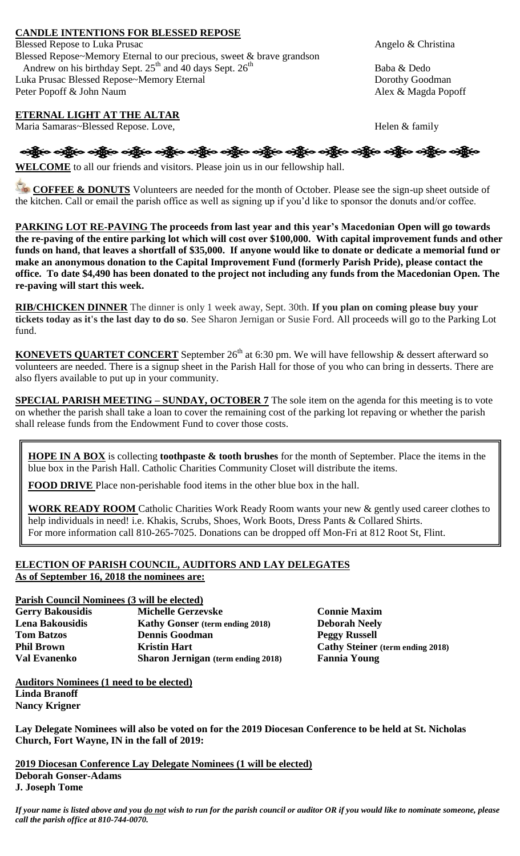#### **CANDLE INTENTIONS FOR BLESSED REPOSE**

Blessed Repose to Luka Prusac Angelo & Christina Blessed Repose~Memory Eternal to our precious, sweet & brave grandson Andrew on his birthday Sept.  $25^{th}$  and 40 days Sept.  $26^{th}$  Baba & Dedo Luka Prusac Blessed Repose~Memory Eternal Dorothy Goodman Peter Popoff & John Naum Alex & Magda Popoff

#### **ETERNAL LIGHT AT THE ALTAR**

Maria Samaras~Blessed Repose. Love, https://www.family.com/statestand/statestand/statestand/statestand/statest

**WELCOME** to all our friends and visitors. Please join us in our fellowship hall.

**COFFEE & DONUTS** Volunteers are needed for the month of October. Please see the sign-up sheet outside of the kitchen. Call or email the parish office as well as signing up if you'd like to sponsor the donuts and/or coffee.

**PARKING LOT RE-PAVING The proceeds from last year and this year's Macedonian Open will go towards the re-paving of the entire parking lot which will cost over \$100,000. With capital improvement funds and other funds on hand, that leaves a shortfall of \$35,000. If anyone would like to donate or dedicate a memorial fund or make an anonymous donation to the Capital Improvement Fund (formerly Parish Pride), please contact the office. To date \$4,490 has been donated to the project not including any funds from the Macedonian Open. The re-paving will start this week.**

**RIB/CHICKEN DINNER** The dinner is only 1 week away, Sept. 30th. **If you plan on coming please buy your tickets today as it's the last day to do so**. See Sharon Jernigan or Susie Ford. All proceeds will go to the Parking Lot fund.

**KONEVETS QUARTET CONCERT** September  $26<sup>th</sup>$  at 6:30 pm. We will have fellowship & dessert afterward so volunteers are needed. There is a signup sheet in the Parish Hall for those of you who can bring in desserts. There are also flyers available to put up in your community.

**SPECIAL PARISH MEETING – SUNDAY, OCTOBER 7** The sole item on the agenda for this meeting is to vote on whether the parish shall take a loan to cover the remaining cost of the parking lot repaving or whether the parish shall release funds from the Endowment Fund to cover those costs.

**HOPE IN A BOX** is collecting **toothpaste & tooth brushes** for the month of September. Place the items in the blue box in the Parish Hall. Catholic Charities Community Closet will distribute the items.

**FOOD DRIVE** Place non-perishable food items in the other blue box in the hall.

**WORK READY ROOM** Catholic Charities Work Ready Room wants your new & gently used career clothes to help individuals in need! i.e. Khakis, Scrubs, Shoes, Work Boots, Dress Pants & Collared Shirts. For more information call 810-265-7025. Donations can be dropped off Mon-Fri at 812 Root St, Flint.

#### **ELECTION OF PARISH COUNCIL, AUDITORS AND LAY DELEGATES As of September 16, 2018 the nominees are:**

#### **Parish Council Nominees (3 will be elected)**

| <b>Gerry Bakousidis</b> | <b>Michelle Gerzevske</b>                 |  |
|-------------------------|-------------------------------------------|--|
| Lena Bakousidis         | <b>Kathy Gonser</b> (term ending 2018)    |  |
| <b>Tom Batzos</b>       | <b>Dennis Goodman</b>                     |  |
| <b>Phil Brown</b>       | <b>Kristin Hart</b>                       |  |
| <b>Val Evanenko</b>     | <b>Sharon Jernigan</b> (term ending 2018) |  |

**Connie Maxim Deborah Neely Peggy Russell Philo Brown Cathy Steiner** (term ending 2018) **Fannia Young** 

**Auditors Nominees (1 need to be elected) Linda Branoff Nancy Krigner**

**Lay Delegate Nominees will also be voted on for the 2019 Diocesan Conference to be held at St. Nicholas Church, Fort Wayne, IN in the fall of 2019:**

**2019 Diocesan Conference Lay Delegate Nominees (1 will be elected) Deborah Gonser-Adams J. Joseph Tome**